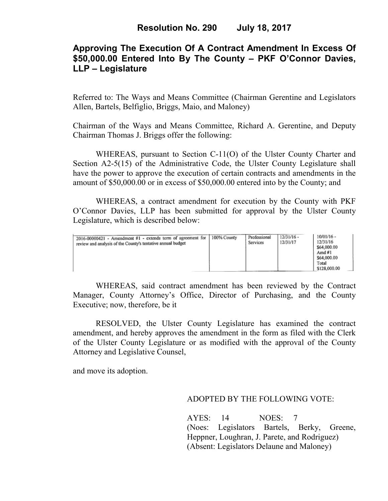# **Approving The Execution Of A Contract Amendment In Excess Of \$50,000.00 Entered Into By The County – PKF O'Connor Davies, LLP – Legislature**

Referred to: The Ways and Means Committee (Chairman Gerentine and Legislators Allen, Bartels, Belfiglio, Briggs, Maio, and Maloney)

Chairman of the Ways and Means Committee, Richard A. Gerentine, and Deputy Chairman Thomas J. Briggs offer the following:

WHEREAS, pursuant to Section C-11(O) of the Ulster County Charter and Section A2-5(15) of the Administrative Code, the Ulster County Legislature shall have the power to approve the execution of certain contracts and amendments in the amount of \$50,000.00 or in excess of \$50,000.00 entered into by the County; and

 WHEREAS, a contract amendment for execution by the County with PKF O'Connor Davies, LLP has been submitted for approval by the Ulster County Legislature, which is described below:

| 2016-00000421 - Amendment $\overline{v}$ 1 - extends term of agreement for<br>review and analysis of the County's tentative annual budget | 100% County | Professional<br>Services | $12/31/16$ -<br>12/31/17 | $10/01/16 -$<br>12/31/16<br>\$64,000.00<br>Amd #1<br>\$64,000.00<br>Total<br>\$128,000.00 |
|-------------------------------------------------------------------------------------------------------------------------------------------|-------------|--------------------------|--------------------------|-------------------------------------------------------------------------------------------|
|-------------------------------------------------------------------------------------------------------------------------------------------|-------------|--------------------------|--------------------------|-------------------------------------------------------------------------------------------|

WHEREAS, said contract amendment has been reviewed by the Contract Manager, County Attorney's Office, Director of Purchasing, and the County Executive; now, therefore, be it

RESOLVED, the Ulster County Legislature has examined the contract amendment, and hereby approves the amendment in the form as filed with the Clerk of the Ulster County Legislature or as modified with the approval of the County Attorney and Legislative Counsel,

and move its adoption.

### ADOPTED BY THE FOLLOWING VOTE:

AYES: 14 NOES: 7 (Noes: Legislators Bartels, Berky, Greene, Heppner, Loughran, J. Parete, and Rodriguez) (Absent: Legislators Delaune and Maloney)